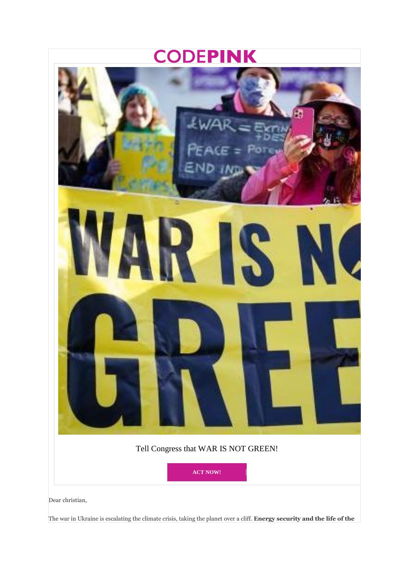## **CODEPINK**



The war in Ukraine is escalating the climate crisis, taking the planet over a cliff. **Energy security and the life of the**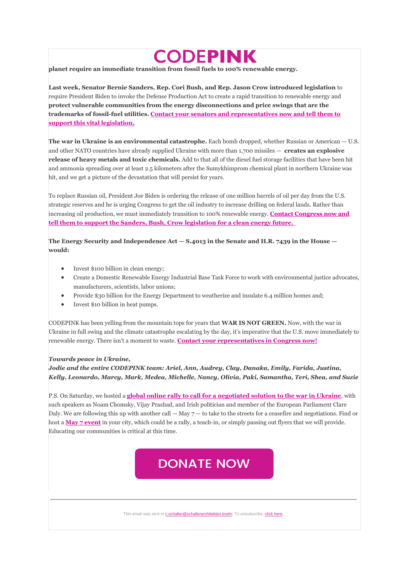## **CODEPINK**

**planet require an immediate transition from fossil fuels to 100% renewable energy.**

**Last week, Senator Bernie Sanders, Rep. Cori Bush, and Rep. Jason Crow introduced legislation** to require President Biden to invoke the Defense Production Act to create a rapid transition to renewable energy and **protect vulnerable communities from the energy disconnections and price swings that are the trademarks of fossil-fuel utilities[. Contact your senators and representatives now and tell them to](https://deref-1und1.de/mail/client/jY_rnIJEbtI/dereferrer/?redirectUrl=https%3A%2F%2Fwww.codepink.org%2Fenergytransition%3Fe%3Db084ade7d91e0d3ec3141878cfd17337%26utm_source%3Dcodepink%26utm_medium%3Demail%26utm_campaign%3Dwing_ukraine_3%26n%3D4)  [support this vital legislation.](https://deref-1und1.de/mail/client/jY_rnIJEbtI/dereferrer/?redirectUrl=https%3A%2F%2Fwww.codepink.org%2Fenergytransition%3Fe%3Db084ade7d91e0d3ec3141878cfd17337%26utm_source%3Dcodepink%26utm_medium%3Demail%26utm_campaign%3Dwing_ukraine_3%26n%3D4)**

**The war in Ukraine is an environmental catastrophe.** Each bomb dropped, whether Russian or American — U.S. and other NATO countries have already supplied Ukraine with more than 1,700 missiles — **creates an explosive release of heavy metals and toxic chemicals.** Add to that all of the diesel fuel storage facilities that have been hit and ammonia spreading over at least 2.5 kilometers after the Sumykhimprom chemical plant in northern Ukraine was hit, and we get a picture of the devastation that will persist for years.

To replace Russian oil, President Joe Biden is ordering the release of one million barrels of oil per day from the U.S. strategic reserves and he is urging Congress to get the oil industry to increase drilling on federal lands. Rather than increasing oil production, we must immediately transition to 100% renewable energy. **[Contact Congress now and](https://deref-1und1.de/mail/client/udrdK5KexLQ/dereferrer/?redirectUrl=https%3A%2F%2Fwww.codepink.org%2Fenergytransition%3Fe%3Db084ade7d91e0d3ec3141878cfd17337%26utm_source%3Dcodepink%26utm_medium%3Demail%26utm_campaign%3Dwing_ukraine_3%26n%3D5)  [tell them to support the Sanders, Bush, Crow legislation for a clean energy future.](https://deref-1und1.de/mail/client/udrdK5KexLQ/dereferrer/?redirectUrl=https%3A%2F%2Fwww.codepink.org%2Fenergytransition%3Fe%3Db084ade7d91e0d3ec3141878cfd17337%26utm_source%3Dcodepink%26utm_medium%3Demail%26utm_campaign%3Dwing_ukraine_3%26n%3D5)**

**The Energy Security and Independence Act — S.4013 in the Senate and H.R. 7439 in the House would:**

- Invest \$100 billion in clean energy;
- Create a Domestic Renewable Energy Industrial Base Task Force to work with environmental justice advocates, manufacturers, scientists, labor unions;
- Provide \$30 billion for the Energy Department to weatherize and insulate 6.4 million homes and;
- Invest \$10 billion in heat pumps.

CODEPINK has been yelling from the mountain tops for years that **WAR IS NOT GREEN.** Now, with the war in Ukraine in full swing and the climate catastrophe escalating by the day, it's imperative that the U.S. move immediately to renewable energy. There isn't a moment to waste. **[Contact your representatives in Congress now!](https://deref-1und1.de/mail/client/Z-4YMr_TyRw/dereferrer/?redirectUrl=https%3A%2F%2Fwww.codepink.org%2Fenergytransition%3Fe%3Db084ade7d91e0d3ec3141878cfd17337%26utm_source%3Dcodepink%26utm_medium%3Demail%26utm_campaign%3Dwing_ukraine_3%26n%3D6)**

## *Towards peace in Ukraine,*

*Jodie and the entire CODEPINK team: Ariel, Ann, Audrey, Clay, Danaka, Emily, Farida, Justina, Kelly, Leonardo, Marcy, Mark, Medea, Michelle, Nancy, Olivia, Paki, Samantha, Teri, Shea, and Suzie*

P.S. On Saturday, we hosted a **[global online rally to call for a negotiated solution to the war in Ukraine](https://deref-1und1.de/mail/client/jJ0P1tqv4pI/dereferrer/?redirectUrl=https%3A%2F%2Fwww.codepink.org%2Fr%3Fu%3DGQ96LxW7tJscudkL8mlwNzVEKXk7dMDJzwJlfbbiiRZ8OrJJTbdJYIfp9DGQ-ncz%26e%3Db084ade7d91e0d3ec3141878cfd17337%26utm_source%3Dcodepink%26utm_medium%3Demail%26utm_campaign%3Dwing_ukraine_3%26n%3D7)**, with such speakers as Noam Chomsky, Vijay Prashad, and Irish politician and member of the European Parliament Clare Daly. We are following this up with another call  $-$  May  $7$   $-$  to take to the streets for a ceasefire and negotiations. Find or host a **[May 7 event](https://deref-1und1.de/mail/client/aK2016DY5_o/dereferrer/?redirectUrl=https%3A%2F%2Fwww.peaceinukraine.org%2F%3Fe%3Db084ade7d91e0d3ec3141878cfd17337%26utm_source%3Dcodepink%26utm_medium%3Demail%26utm_campaign%3Dwing_ukraine_3%26n%3D8)** in your city, which could be a rally, a teach-in, or simply passing out flyers that we will provide. Educating our communities is critical at this time.

## **DONATE NOW**

This email was sent t[o c.schaller@schallerarchitekten.koeln.](mailto:c.schaller@schallerarchitekten.koeln) To unsubscribe, click here.